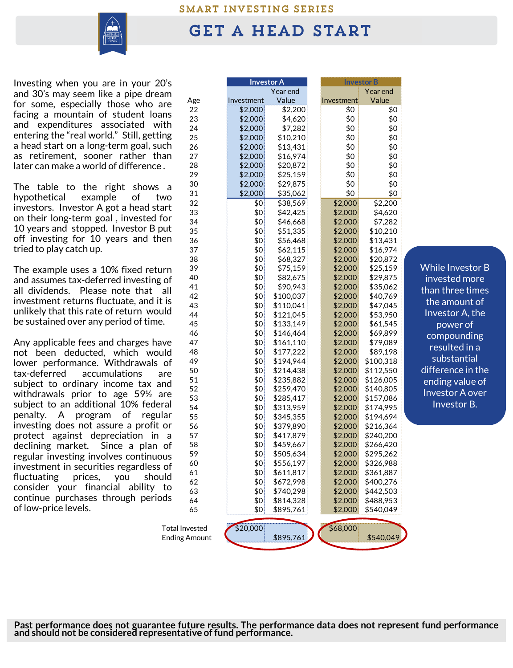## SMART INVESTING SERIES



## **GET A HEAD START**

Investing when you are in your 20's and 30's may seem like a pipe dream for some, especially those who are facing a mountain of student loans and expenditures associated with entering the "real world." Still, getting a head start on a long-term goal, such as retirement, sooner rather than later can make a world of difference .

The table to the right shows a hypothetical example of two investors. Investor A got a head start on their long-term goal , invested for 10 years and stopped. Investor B put off investing for 10 years and then tried to play catch up.

The example uses a 10% fixed return and assumes tax-deferred investing of all dividends. Please note that all investment returns fluctuate, and it is unlikely that this rate of return would be sustained over any period of time.

Any applicable fees and charges have not been deducted, which would lower performance. Withdrawals of tax-deferred accumulations are subject to ordinary income tax and withdrawals prior to age 59½ are subject to an additional 10% federal penalty. A program of regular investing does not assure a profit or protect against depreciation in a declining market. Since a plan of regular investing involves continuous investment in securities regardless of fluctuating prices, you should consider your financial ability to continue purchases through periods of low-price levels.

| 0's                                           |                      | <b>Investor A</b> |           |  | <b>Investor B</b> |           |  |
|-----------------------------------------------|----------------------|-------------------|-----------|--|-------------------|-----------|--|
| am                                            |                      |                   | Year end  |  |                   | Year end  |  |
| are                                           | Age                  | Investment        | Value     |  | Investment        | Value     |  |
|                                               | 22                   | \$2,000           | \$2,200   |  | \$0               | \$0       |  |
| ins                                           | 23                   | \$2,000           | \$4,620   |  | \$0               | \$0       |  |
| ith                                           | 24                   | \$2,000           | \$7,282   |  | \$0               | \$0       |  |
| ing                                           | 25                   | \$2,000           | \$10,210  |  | \$0               | \$0       |  |
| ıch                                           | 26                   | \$2,000           | \$13,431  |  | \$0               | \$0       |  |
| ıan                                           | 27                   | \$2,000           | \$16,974  |  | \$0               | \$0       |  |
| L.                                            | 28                   | \$2,000           | \$20,872  |  | \$0               | \$0       |  |
|                                               | 29                   | \$2,000           | \$25,159  |  | \$0               | \$0       |  |
| a                                             | 30                   | \$2,000           | \$29,875  |  | \$0               | \$0       |  |
|                                               | 31                   | \$2,000           | \$35,062  |  | \$0               | \$0       |  |
| WO                                            | 32                   | \$0               | \$38,569  |  | \$2,000           | \$2,200   |  |
| art                                           | 33                   | \$0               | \$42,425  |  | \$2,000           | \$4,620   |  |
| for                                           | 34                   | \$0               | \$46,668  |  | \$2,000           | \$7,282   |  |
| งut                                           | 35                   | \$0               | \$51,335  |  | \$2,000           | \$10,210  |  |
| ıen                                           | 36                   | \$0               | \$56,468  |  | \$2,000           | \$13,431  |  |
|                                               | 37                   | \$0               | \$62,115  |  | \$2,000           | \$16,974  |  |
|                                               | 38                   | \$0               | \$68,327  |  | \$2,000           | \$20,872  |  |
|                                               | 39                   | \$0               | \$75,159  |  | \$2,000           | \$25,159  |  |
| ırn                                           | 40                   | \$0               | \$82,675  |  | \$2,000           | \$29,875  |  |
| of                                            | 41                   | \$0               | \$90,943  |  | \$2,000           | \$35,062  |  |
| all                                           | 42                   | \$0               | \$100,037 |  | \$2,000           | \$40,769  |  |
| t is                                          | 43                   | \$0               | \$110,041 |  | \$2,000           | \$47,045  |  |
| ال                                            | 44                   | \$0               | \$121,045 |  | \$2,000           | \$53,950  |  |
| ª.                                            | 45                   | \$0               | \$133,149 |  | \$2,000           | \$61,545  |  |
|                                               | 46                   | \$0               | \$146,464 |  | \$2,000           | \$69,899  |  |
| ıve                                           | 47                   | \$0               | \$161,110 |  | \$2,000           | \$79,089  |  |
| dاړ                                           | 48                   | \$0               | \$177,222 |  | \$2,000           | \$89,198  |  |
|                                               | 49                   | \$0               | \$194,944 |  | \$2,000           | \$100,318 |  |
| of                                            | 50                   | \$0               | \$214,438 |  | \$2,000           | \$112,550 |  |
| are                                           | 51                   | \$0               | \$235,882 |  | \$2,000           | \$126,005 |  |
| ∣nd                                           | 52                   | \$0               | \$259,470 |  |                   |           |  |
| are                                           | 53                   | \$0               |           |  | \$2,000           | \$140,805 |  |
| ral                                           | 54                   | \$0               | \$285,417 |  | \$2,000           | \$157,086 |  |
| lar                                           | 55                   | \$0               | \$313,959 |  | \$2,000           | \$174,995 |  |
| or                                            |                      |                   | \$345,355 |  | \$2,000           | \$194,694 |  |
|                                               | 56                   | \$0               | \$379,890 |  | \$2,000           | \$216,364 |  |
| a                                             | 57                   | \$0               | \$417,879 |  | \$2,000           | \$240,200 |  |
| of                                            | 58                   | \$0               | \$459,667 |  | \$2,000           | \$266,420 |  |
| us                                            | 59                   | \$0               | \$505,634 |  | \$2,000           | \$295,262 |  |
| of                                            | 60                   | \$0               | \$556,197 |  | \$2,000           | \$326,988 |  |
| الد                                           | 61                   | \$0               | \$611,817 |  | \$2,000           | \$361,887 |  |
| to                                            | 62                   | \$0               | \$672,998 |  | \$2,000           | \$400,276 |  |
| ds                                            | 63                   | \$0               | \$740,298 |  | \$2,000           | \$442,503 |  |
|                                               | 64                   | \$0               | \$814,328 |  | \$2,000           | \$488,953 |  |
|                                               | 65                   | \$0               | \$895,761 |  | \$2,000           | \$540,049 |  |
|                                               |                      |                   |           |  |                   |           |  |
| \$20,000<br>\$68,000<br><b>Total Invested</b> |                      |                   |           |  |                   |           |  |
|                                               | <b>Ending Amount</b> |                   | \$895,761 |  |                   | \$540,049 |  |

While Investor B invested more than three times the amount of Investor A, the power of compounding resulted in a substantial difference in the ending value of Investor A over Investor B.

**Past performance does not guarantee future results. The performance data does not represent fund performance and should not be considered representative of fund performance.**